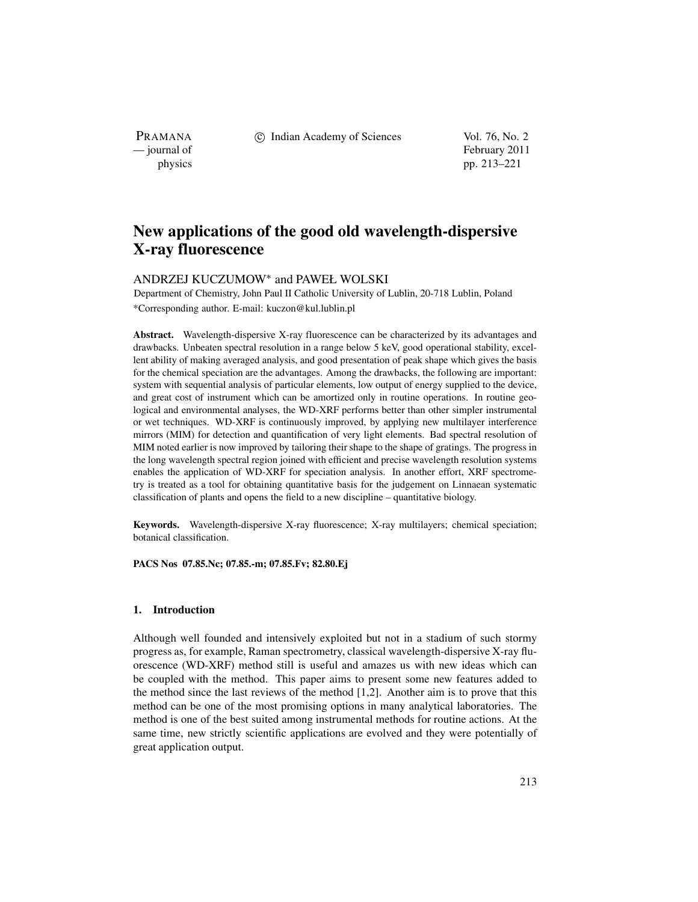PRAMANA<br>
— journal of

c Indian Academy of Sciences Vol. 76, No. 2

February 2011 physics pp. 213–221

# **New applications of the good old wavelength-dispersive X-ray fluorescence**

# ANDRZEJ KUCZUMOW∗ and PAWEŁ WOLSKI

Department of Chemistry, John Paul II Catholic University of Lublin, 20-718 Lublin, Poland \*Corresponding author. E-mail: kuczon@kul.lublin.pl

**Abstract.** Wavelength-dispersive X-ray fluorescence can be characterized by its advantages and drawbacks. Unbeaten spectral resolution in a range below 5 keV, good operational stability, excellent ability of making averaged analysis, and good presentation of peak shape which gives the basis for the chemical speciation are the advantages. Among the drawbacks, the following are important: system with sequential analysis of particular elements, low output of energy supplied to the device, and great cost of instrument which can be amortized only in routine operations. In routine geological and environmental analyses, the WD-XRF performs better than other simpler instrumental or wet techniques. WD-XRF is continuously improved, by applying new multilayer interference mirrors (MIM) for detection and quantification of very light elements. Bad spectral resolution of MIM noted earlier is now improved by tailoring their shape to the shape of gratings. The progress in the long wavelength spectral region joined with efficient and precise wavelength resolution systems enables the application of WD-XRF for speciation analysis. In another effort, XRF spectrometry is treated as a tool for obtaining quantitative basis for the judgement on Linnaean systematic classification of plants and opens the field to a new discipline – quantitative biology.

**Keywords.** Wavelength-dispersive X-ray fluorescence; X-ray multilayers; chemical speciation; botanical classification.

**PACS Nos 07.85.Nc; 07.85.-m; 07.85.Fv; 82.80.Ej**

## **1. Introduction**

Although well founded and intensively exploited but not in a stadium of such stormy progress as, for example, Raman spectrometry, classical wavelength-dispersive X-ray fluorescence (WD-XRF) method still is useful and amazes us with new ideas which can be coupled with the method. This paper aims to present some new features added to the method since the last reviews of the method  $[1,2]$ . Another aim is to prove that this method can be one of the most promising options in many analytical laboratories. The method is one of the best suited among instrumental methods for routine actions. At the same time, new strictly scientific applications are evolved and they were potentially of great application output.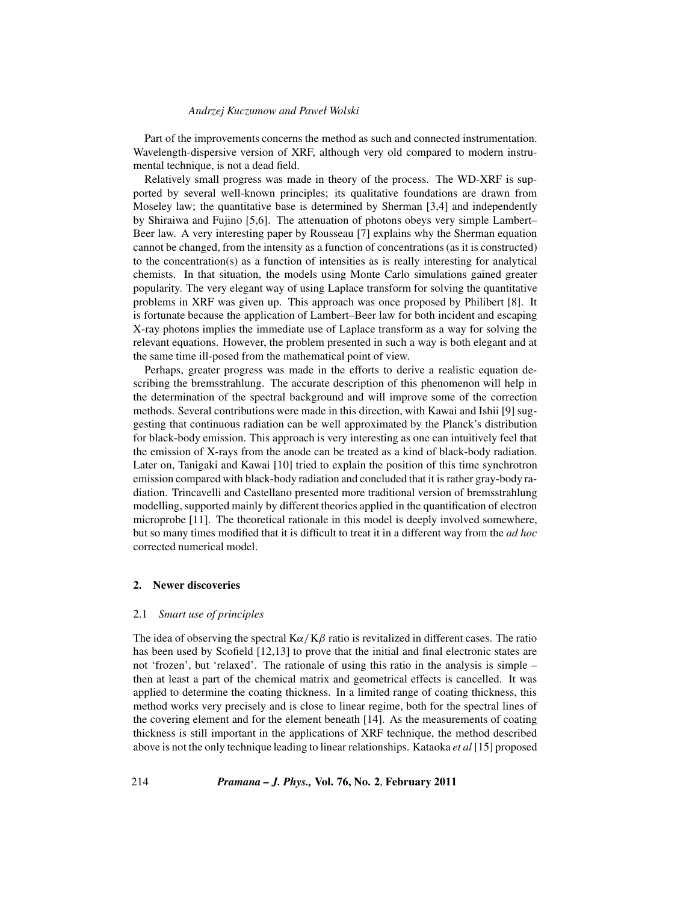## *Andrzej Kuczumow and Paweł Wolski*

Part of the improvements concerns the method as such and connected instrumentation. Wavelength-dispersive version of XRF, although very old compared to modern instrumental technique, is not a dead field.

Relatively small progress was made in theory of the process. The WD-XRF is supported by several well-known principles; its qualitative foundations are drawn from Moseley law; the quantitative base is determined by Sherman [3,4] and independently by Shiraiwa and Fujino [5,6]. The attenuation of photons obeys very simple Lambert– Beer law. A very interesting paper by Rousseau [7] explains why the Sherman equation cannot be changed, from the intensity as a function of concentrations (as it is constructed) to the concentration(s) as a function of intensities as is really interesting for analytical chemists. In that situation, the models using Monte Carlo simulations gained greater popularity. The very elegant way of using Laplace transform for solving the quantitative problems in XRF was given up. This approach was once proposed by Philibert [8]. It is fortunate because the application of Lambert–Beer law for both incident and escaping X-ray photons implies the immediate use of Laplace transform as a way for solving the relevant equations. However, the problem presented in such a way is both elegant and at the same time ill-posed from the mathematical point of view.

Perhaps, greater progress was made in the efforts to derive a realistic equation describing the bremsstrahlung. The accurate description of this phenomenon will help in the determination of the spectral background and will improve some of the correction methods. Several contributions were made in this direction, with Kawai and Ishii [9] suggesting that continuous radiation can be well approximated by the Planck's distribution for black-body emission. This approach is very interesting as one can intuitively feel that the emission of X-rays from the anode can be treated as a kind of black-body radiation. Later on, Tanigaki and Kawai [10] tried to explain the position of this time synchrotron emission compared with black-body radiation and concluded that it is rather gray-body radiation. Trincavelli and Castellano presented more traditional version of bremsstrahlung modelling, supported mainly by different theories applied in the quantification of electron microprobe [11]. The theoretical rationale in this model is deeply involved somewhere, but so many times modified that it is difficult to treat it in a different way from the *ad hoc* corrected numerical model.

## **2. Newer discoveries**

## 2.1 *Smart use of principles*

The idea of observing the spectral  $K\alpha/K\beta$  ratio is revitalized in different cases. The ratio has been used by Scofield [12,13] to prove that the initial and final electronic states are not 'frozen', but 'relaxed'. The rationale of using this ratio in the analysis is simple – then at least a part of the chemical matrix and geometrical effects is cancelled. It was applied to determine the coating thickness. In a limited range of coating thickness, this method works very precisely and is close to linear regime, both for the spectral lines of the covering element and for the element beneath [14]. As the measurements of coating thickness is still important in the applications of XRF technique, the method described above is not the only technique leading to linear relationships. Kataoka *et al* [15] proposed

## 214 *Pramana – J. Phys.,* **Vol. 76, No. 2**, **February 2011**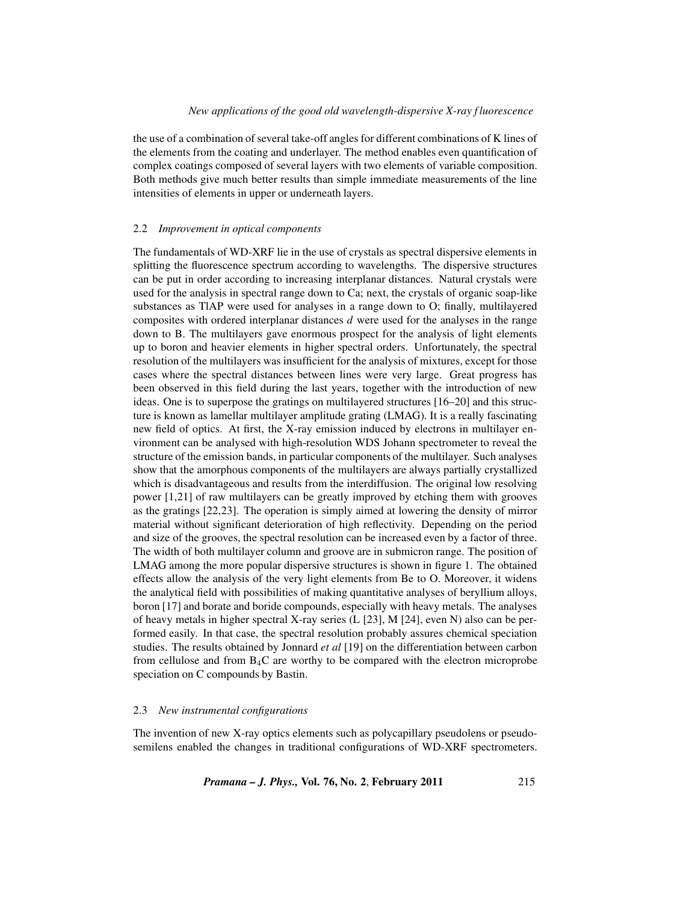the use of a combination of several take-off angles for different combinations of K lines of the elements from the coating and underlayer. The method enables even quantification of complex coatings composed of several layers with two elements of variable composition. Both methods give much better results than simple immediate measurements of the line intensities of elements in upper or underneath layers.

#### 2.2 *Improvement in optical components*

The fundamentals of WD-XRF lie in the use of crystals as spectral dispersive elements in splitting the fluorescence spectrum according to wavelengths. The dispersive structures can be put in order according to increasing interplanar distances. Natural crystals were used for the analysis in spectral range down to Ca; next, the crystals of organic soap-like substances as TlAP were used for analyses in a range down to O; finally, multilayered composites with ordered interplanar distances *d* were used for the analyses in the range down to B. The multilayers gave enormous prospect for the analysis of light elements up to boron and heavier elements in higher spectral orders. Unfortunately, the spectral resolution of the multilayers was insufficient for the analysis of mixtures, except for those cases where the spectral distances between lines were very large. Great progress has been observed in this field during the last years, together with the introduction of new ideas. One is to superpose the gratings on multilayered structures [16–20] and this structure is known as lamellar multilayer amplitude grating (LMAG). It is a really fascinating new field of optics. At first, the X-ray emission induced by electrons in multilayer environment can be analysed with high-resolution WDS Johann spectrometer to reveal the structure of the emission bands, in particular components of the multilayer. Such analyses show that the amorphous components of the multilayers are always partially crystallized which is disadvantageous and results from the interdiffusion. The original low resolving power [1,21] of raw multilayers can be greatly improved by etching them with grooves as the gratings [22,23]. The operation is simply aimed at lowering the density of mirror material without significant deterioration of high reflectivity. Depending on the period and size of the grooves, the spectral resolution can be increased even by a factor of three. The width of both multilayer column and groove are in submicron range. The position of LMAG among the more popular dispersive structures is shown in figure 1. The obtained effects allow the analysis of the very light elements from Be to O. Moreover, it widens the analytical field with possibilities of making quantitative analyses of beryllium alloys, boron [17] and borate and boride compounds, especially with heavy metals. The analyses of heavy metals in higher spectral X-ray series (L [23], M [24], even N) also can be performed easily. In that case, the spectral resolution probably assures chemical speciation studies. The results obtained by Jonnard *et al* [19] on the differentiation between carbon from cellulose and from B4C are worthy to be compared with the electron microprobe speciation on C compounds by Bastin.

## 2.3 *New instrumental configurations*

The invention of new X-ray optics elements such as polycapillary pseudolens or pseudosemilens enabled the changes in traditional configurations of WD-XRF spectrometers.

*Pramana – J. Phys.,* **Vol. 76, No. 2**, **February 2011** 215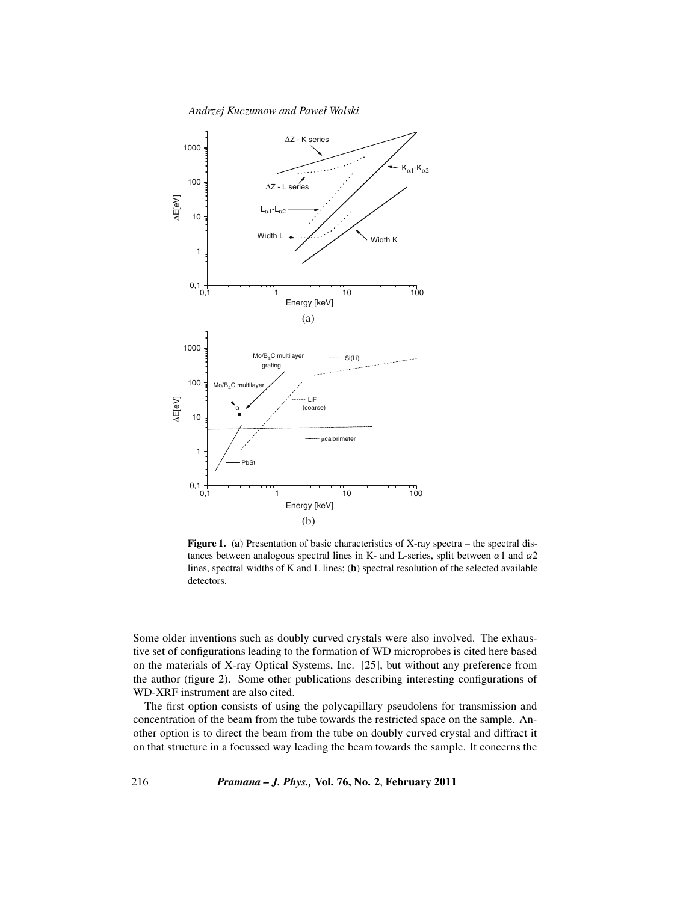*Andrzej Kuczumow and Paweł Wolski*



**Figure 1.** (**a**) Presentation of basic characteristics of X-ray spectra – the spectral distances between analogous spectral lines in K- and L-series, split between  $\alpha$ 1 and  $\alpha$ 2 lines, spectral widths of K and L lines; (**b**) spectral resolution of the selected available detectors.

Some older inventions such as doubly curved crystals were also involved. The exhaustive set of configurations leading to the formation of WD microprobes is cited here based on the materials of X-ray Optical Systems, Inc. [25], but without any preference from the author (figure 2). Some other publications describing interesting configurations of WD-XRF instrument are also cited.

The first option consists of using the polycapillary pseudolens for transmission and concentration of the beam from the tube towards the restricted space on the sample. Another option is to direct the beam from the tube on doubly curved crystal and diffract it on that structure in a focussed way leading the beam towards the sample. It concerns the

216 *Pramana – J. Phys.,* **Vol. 76, No. 2**, **February 2011**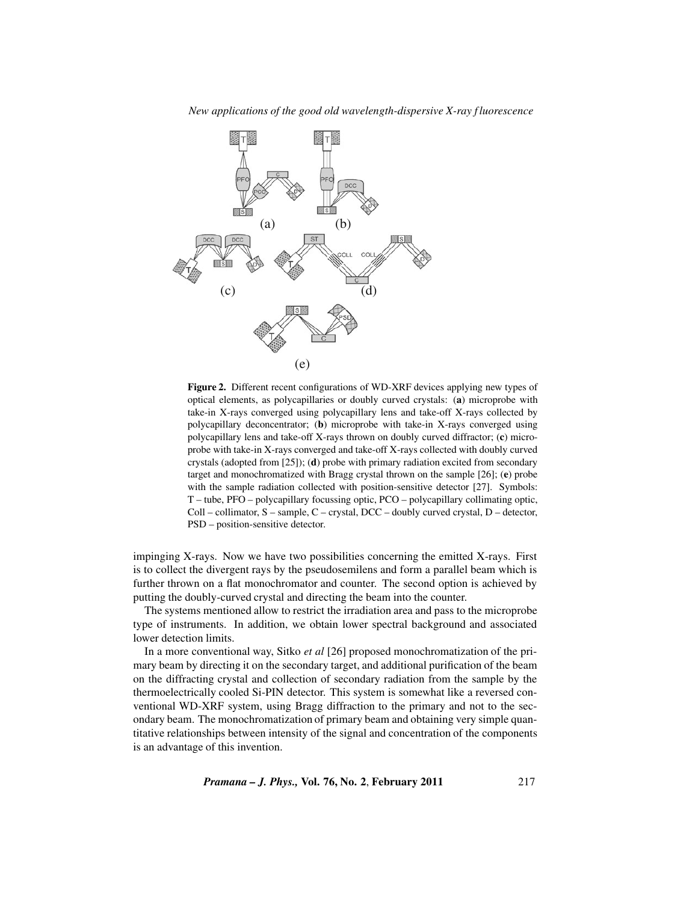*New applications of the good old wavelength-dispersive X-ray f luorescence*



**Figure 2.** Different recent configurations of WD-XRF devices applying new types of optical elements, as polycapillaries or doubly curved crystals: (**a**) microprobe with take-in X-rays converged using polycapillary lens and take-off X-rays collected by polycapillary deconcentrator; (**b**) microprobe with take-in X-rays converged using polycapillary lens and take-off X-rays thrown on doubly curved diffractor; (**c**) microprobe with take-in X-rays converged and take-off X-rays collected with doubly curved crystals (adopted from [25]); (**d**) probe with primary radiation excited from secondary target and monochromatized with Bragg crystal thrown on the sample [26]; (**e**) probe with the sample radiation collected with position-sensitive detector [27]. Symbols: T – tube, PFO – polycapillary focussing optic, PCO – polycapillary collimating optic, Coll – collimator, S – sample, C – crystal, DCC – doubly curved crystal, D – detector, PSD – position-sensitive detector.

impinging X-rays. Now we have two possibilities concerning the emitted X-rays. First is to collect the divergent rays by the pseudosemilens and form a parallel beam which is further thrown on a flat monochromator and counter. The second option is achieved by putting the doubly-curved crystal and directing the beam into the counter.

The systems mentioned allow to restrict the irradiation area and pass to the microprobe type of instruments. In addition, we obtain lower spectral background and associated lower detection limits.

In a more conventional way, Sitko *et al* [26] proposed monochromatization of the primary beam by directing it on the secondary target, and additional purification of the beam on the diffracting crystal and collection of secondary radiation from the sample by the thermoelectrically cooled Si-PIN detector. This system is somewhat like a reversed conventional WD-XRF system, using Bragg diffraction to the primary and not to the secondary beam. The monochromatization of primary beam and obtaining very simple quantitative relationships between intensity of the signal and concentration of the components is an advantage of this invention.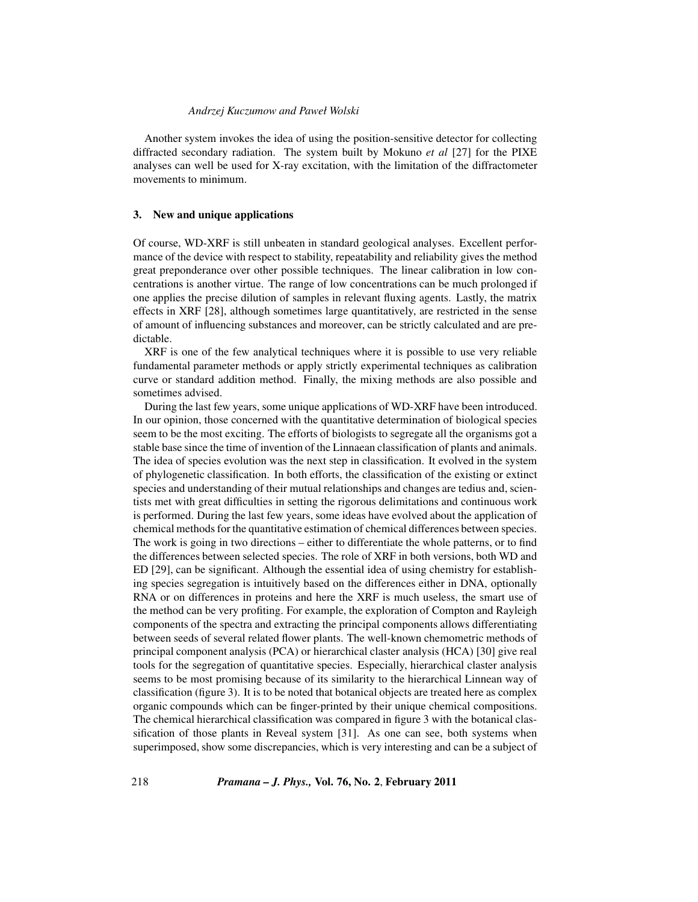## *Andrzej Kuczumow and Paweł Wolski*

Another system invokes the idea of using the position-sensitive detector for collecting diffracted secondary radiation. The system built by Mokuno *et al* [27] for the PIXE analyses can well be used for X-ray excitation, with the limitation of the diffractometer movements to minimum.

## **3. New and unique applications**

Of course, WD-XRF is still unbeaten in standard geological analyses. Excellent performance of the device with respect to stability, repeatability and reliability gives the method great preponderance over other possible techniques. The linear calibration in low concentrations is another virtue. The range of low concentrations can be much prolonged if one applies the precise dilution of samples in relevant fluxing agents. Lastly, the matrix effects in XRF [28], although sometimes large quantitatively, are restricted in the sense of amount of influencing substances and moreover, can be strictly calculated and are predictable.

XRF is one of the few analytical techniques where it is possible to use very reliable fundamental parameter methods or apply strictly experimental techniques as calibration curve or standard addition method. Finally, the mixing methods are also possible and sometimes advised.

During the last few years, some unique applications of WD-XRF have been introduced. In our opinion, those concerned with the quantitative determination of biological species seem to be the most exciting. The efforts of biologists to segregate all the organisms got a stable base since the time of invention of the Linnaean classification of plants and animals. The idea of species evolution was the next step in classification. It evolved in the system of phylogenetic classification. In both efforts, the classification of the existing or extinct species and understanding of their mutual relationships and changes are tedius and, scientists met with great difficulties in setting the rigorous delimitations and continuous work is performed. During the last few years, some ideas have evolved about the application of chemical methods for the quantitative estimation of chemical differences between species. The work is going in two directions – either to differentiate the whole patterns, or to find the differences between selected species. The role of XRF in both versions, both WD and ED [29], can be significant. Although the essential idea of using chemistry for establishing species segregation is intuitively based on the differences either in DNA, optionally RNA or on differences in proteins and here the XRF is much useless, the smart use of the method can be very profiting. For example, the exploration of Compton and Rayleigh components of the spectra and extracting the principal components allows differentiating between seeds of several related flower plants. The well-known chemometric methods of principal component analysis (PCA) or hierarchical claster analysis (HCA) [30] give real tools for the segregation of quantitative species. Especially, hierarchical claster analysis seems to be most promising because of its similarity to the hierarchical Linnean way of classification (figure 3). It is to be noted that botanical objects are treated here as complex organic compounds which can be finger-printed by their unique chemical compositions. The chemical hierarchical classification was compared in figure 3 with the botanical classification of those plants in Reveal system [31]. As one can see, both systems when superimposed, show some discrepancies, which is very interesting and can be a subject of

218 *Pramana – J. Phys.,* **Vol. 76, No. 2**, **February 2011**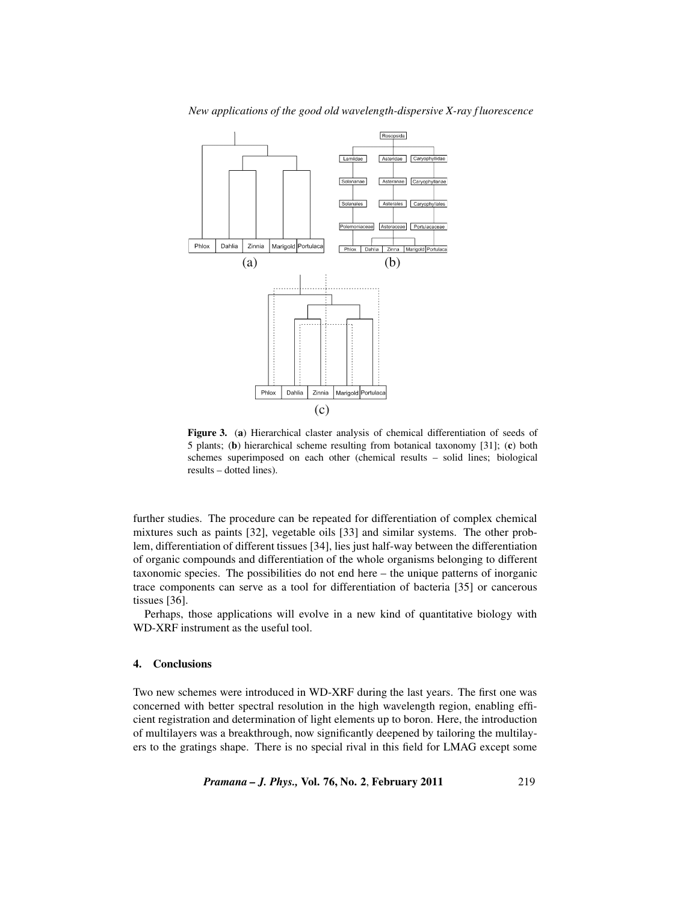*New applications of the good old wavelength-dispersive X-ray f luorescence*



**Figure 3.** (**a**) Hierarchical claster analysis of chemical differentiation of seeds of 5 plants; (**b**) hierarchical scheme resulting from botanical taxonomy [31]; (**c**) both schemes superimposed on each other (chemical results – solid lines; biological results – dotted lines).

further studies. The procedure can be repeated for differentiation of complex chemical mixtures such as paints [32], vegetable oils [33] and similar systems. The other problem, differentiation of different tissues [34], lies just half-way between the differentiation of organic compounds and differentiation of the whole organisms belonging to different taxonomic species. The possibilities do not end here – the unique patterns of inorganic trace components can serve as a tool for differentiation of bacteria [35] or cancerous tissues [36].

Perhaps, those applications will evolve in a new kind of quantitative biology with WD-XRF instrument as the useful tool.

## **4. Conclusions**

Two new schemes were introduced in WD-XRF during the last years. The first one was concerned with better spectral resolution in the high wavelength region, enabling efficient registration and determination of light elements up to boron. Here, the introduction of multilayers was a breakthrough, now significantly deepened by tailoring the multilayers to the gratings shape. There is no special rival in this field for LMAG except some

*Pramana – J. Phys.,* **Vol. 76, No. 2**, **February 2011** 219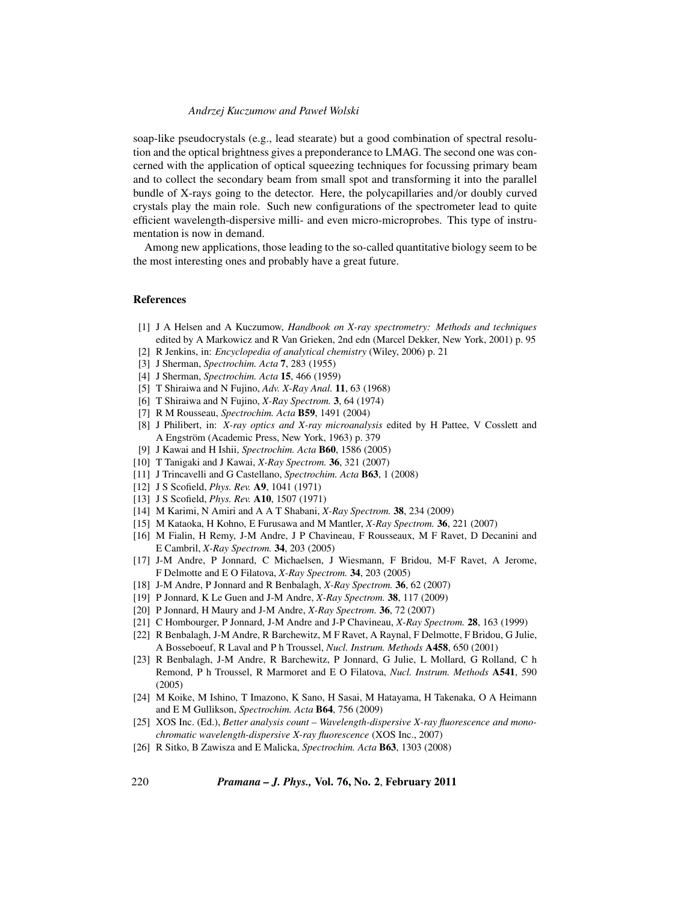## *Andrzej Kuczumow and Paweł Wolski*

soap-like pseudocrystals (e.g., lead stearate) but a good combination of spectral resolution and the optical brightness gives a preponderance to LMAG. The second one was concerned with the application of optical squeezing techniques for focussing primary beam and to collect the secondary beam from small spot and transforming it into the parallel bundle of X-rays going to the detector. Here, the polycapillaries and/or doubly curved crystals play the main role. Such new configurations of the spectrometer lead to quite efficient wavelength-dispersive milli- and even micro-microprobes. This type of instrumentation is now in demand.

Among new applications, those leading to the so-called quantitative biology seem to be the most interesting ones and probably have a great future.

## **References**

- [1] J A Helsen and A Kuczumow, *Handbook on X-ray spectrometry: Methods and techniques* edited by A Markowicz and R Van Grieken, 2nd edn (Marcel Dekker, New York, 2001) p. 95
- [2] R Jenkins, in: *Encyclopedia of analytical chemistry* (Wiley, 2006) p. 21
- [3] J Sherman, *Spectrochim. Acta* **7**, 283 (1955)
- [4] J Sherman, *Spectrochim. Acta* **15**, 466 (1959)
- [5] T Shiraiwa and N Fujino, *Adv. X-Ray Anal.* **11**, 63 (1968)
- [6] T Shiraiwa and N Fujino, *X-Ray Spectrom.* **3**, 64 (1974)
- [7] R M Rousseau, *Spectrochim. Acta* **B59**, 1491 (2004)
- [8] J Philibert, in: *X-ray optics and X-ray microanalysis* edited by H Pattee, V Cosslett and A Engström (Academic Press, New York, 1963) p. 379
- [9] J Kawai and H Ishii, *Spectrochim. Acta* **B60**, 1586 (2005)
- [10] T Tanigaki and J Kawai, *X-Ray Spectrom.* **36**, 321 (2007)
- [11] J Trincavelli and G Castellano, *Spectrochim. Acta* **B63**, 1 (2008)
- [12] J S Scofield, *Phys. Rev.* **A9**, 1041 (1971)
- [13] J S Scofield, *Phys. Rev.* **A10**, 1507 (1971)
- [14] M Karimi, N Amiri and A A T Shabani, *X-Ray Spectrom.* **38**, 234 (2009)
- [15] M Kataoka, H Kohno, E Furusawa and M Mantler, *X-Ray Spectrom.* **36**, 221 (2007)
- [16] M Fialin, H Remy, J-M Andre, J P Chavineau, F Rousseaux, M F Ravet, D Decanini and E Cambril, *X-Ray Spectrom.* **34**, 203 (2005)
- [17] J-M Andre, P Jonnard, C Michaelsen, J Wiesmann, F Bridou, M-F Ravet, A Jerome, F Delmotte and E O Filatova, *X-Ray Spectrom.* **34**, 203 (2005)
- [18] J-M Andre, P Jonnard and R Benbalagh, *X-Ray Spectrom.* **36**, 62 (2007)
- [19] P Jonnard, K Le Guen and J-M Andre, *X-Ray Spectrom.* **38**, 117 (2009)
- [20] P Jonnard, H Maury and J-M Andre, *X-Ray Spectrom.* **36**, 72 (2007)
- [21] C Hombourger, P Jonnard, J-M Andre and J-P Chavineau, *X-Ray Spectrom.* **28**, 163 (1999)
- [22] R Benbalagh, J-M Andre, R Barchewitz, M F Ravet, A Raynal, F Delmotte, F Bridou, G Julie, A Bosseboeuf, R Laval and P h Troussel, *Nucl. Instrum. Methods* **A458**, 650 (2001)
- [23] R Benbalagh, J-M Andre, R Barchewitz, P Jonnard, G Julie, L Mollard, G Rolland, C h Remond, P h Troussel, R Marmoret and E O Filatova, *Nucl. Instrum. Methods* **A541**, 590 (2005)
- [24] M Koike, M Ishino, T Imazono, K Sano, H Sasai, M Hatayama, H Takenaka, O A Heimann and E M Gullikson, *Spectrochim. Acta* **B64**, 756 (2009)
- [25] XOS Inc. (Ed.), *Better analysis count Wavelength-dispersive X-ray fluorescence and monochromatic wavelength-dispersive X-ray fluorescence* (XOS Inc., 2007)
- [26] R Sitko, B Zawisza and E Malicka, *Spectrochim. Acta* **B63**, 1303 (2008)